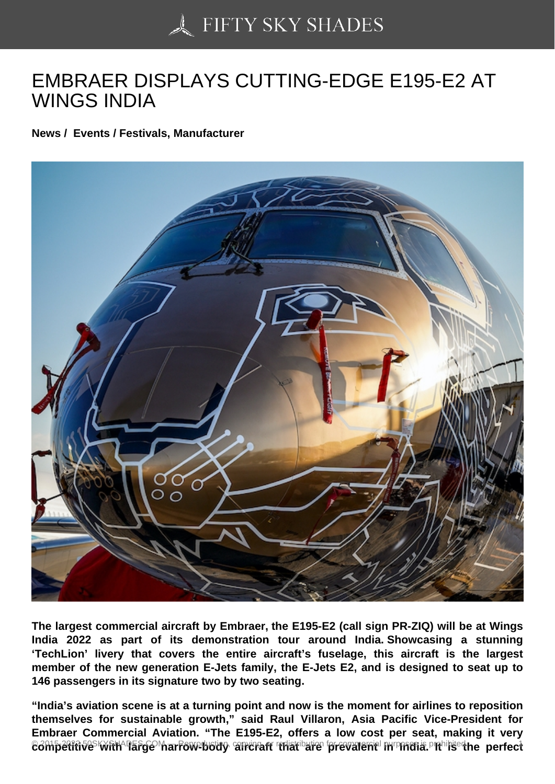## [EMBRAER DISPLAYS](https://50skyshades.com) CUTTING-EDGE E195-E2 AT WINGS INDIA

News / Events / Festivals, Manufacturer

The largest commercial aircraft by Embraer, the E195-E2 (call sign PR-ZIQ) will be at Wings India 2022 as part of its demonstration tour around India. Showcasing a stunning 'TechLion' livery that covers the entire aircraft's fuselage, this aircraft is the largest member of the new generation E-Jets family, the E-Jets E2, and is designed to seat up to 146 passengers in its signature two by two seating.

"India's aviation scene is at a turning point and now is the moment for airlines to reposition themselves for sustainable growth," said Raul Villaron, Asia Pacific Vice-President for Embraer Commercial Aviation. "The E195-E2, offers a low cost per seat, making it very competitive with large charrow-body tian craft anare are prevalent march dia. Or resis predited rect and the p